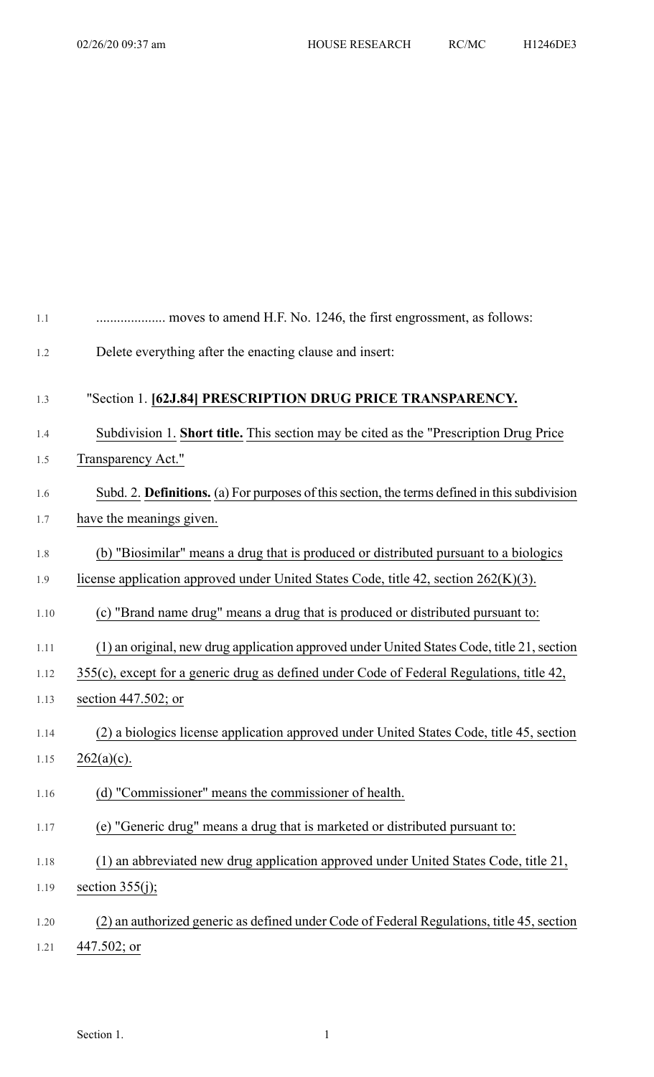| 1.1  | moves to amend H.F. No. 1246, the first engrossment, as follows:                              |
|------|-----------------------------------------------------------------------------------------------|
| 1.2  | Delete everything after the enacting clause and insert:                                       |
| 1.3  | "Section 1. [62J.84] PRESCRIPTION DRUG PRICE TRANSPARENCY.                                    |
| 1.4  | Subdivision 1. Short title. This section may be cited as the "Prescription Drug Price"        |
| 1.5  | Transparency Act."                                                                            |
| 1.6  | Subd. 2. Definitions. (a) For purposes of this section, the terms defined in this subdivision |
| 1.7  | have the meanings given.                                                                      |
| 1.8  | (b) "Biosimilar" means a drug that is produced or distributed pursuant to a biologics         |
| 1.9  | license application approved under United States Code, title 42, section 262(K)(3).           |
| 1.10 | (c) "Brand name drug" means a drug that is produced or distributed pursuant to:               |
| 1.11 | (1) an original, new drug application approved under United States Code, title 21, section    |
| 1.12 | 355(c), except for a generic drug as defined under Code of Federal Regulations, title 42,     |
| 1.13 | section $447.502$ ; or                                                                        |
| 1.14 | (2) a biologics license application approved under United States Code, title 45, section      |
| 1.15 | $262(a)(c)$ .                                                                                 |
| 1.16 | (d) "Commissioner" means the commissioner of health.                                          |
| 1.17 | (e) "Generic drug" means a drug that is marketed or distributed pursuant to:                  |
| 1.18 | (1) an abbreviated new drug application approved under United States Code, title 21,          |
| 1.19 | section $355(j)$ ;                                                                            |
| 1.20 | (2) an authorized generic as defined under Code of Federal Regulations, title 45, section     |
| 1.21 | $447.502$ ; or                                                                                |

Section 1.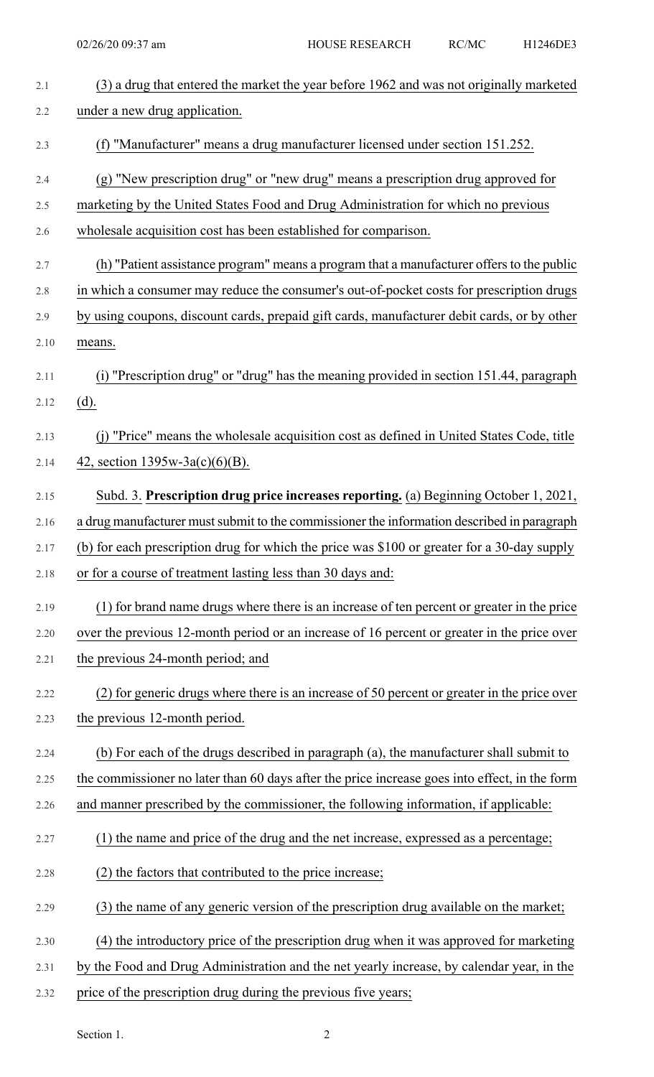| 2.1     | (3) a drug that entered the market the year before 1962 and was not originally marketed       |
|---------|-----------------------------------------------------------------------------------------------|
| 2.2     | under a new drug application.                                                                 |
| 2.3     | (f) "Manufacturer" means a drug manufacturer licensed under section 151.252.                  |
| 2.4     | (g) "New prescription drug" or "new drug" means a prescription drug approved for              |
| 2.5     | marketing by the United States Food and Drug Administration for which no previous             |
| 2.6     | wholesale acquisition cost has been established for comparison.                               |
| 2.7     | (h) "Patient assistance program" means a program that a manufacturer offers to the public     |
| $2.8\,$ | in which a consumer may reduce the consumer's out-of-pocket costs for prescription drugs      |
| 2.9     | by using coupons, discount cards, prepaid gift cards, manufacturer debit cards, or by other   |
| 2.10    | means.                                                                                        |
| 2.11    | (i) "Prescription drug" or "drug" has the meaning provided in section 151.44, paragraph       |
| 2.12    | (d).                                                                                          |
| 2.13    | (j) "Price" means the wholesale acquisition cost as defined in United States Code, title      |
| 2.14    | 42, section $1395w-3a(c)(6)(B)$ .                                                             |
| 2.15    | Subd. 3. Prescription drug price increases reporting. (a) Beginning October 1, 2021,          |
| 2.16    | a drug manufacturer must submit to the commissioner the information described in paragraph    |
| 2.17    | (b) for each prescription drug for which the price was \$100 or greater for a 30-day supply   |
| 2.18    | or for a course of treatment lasting less than 30 days and:                                   |
| 2.19    | (1) for brand name drugs where there is an increase of ten percent or greater in the price    |
| 2.20    | over the previous 12-month period or an increase of 16 percent or greater in the price over   |
| 2.21    | the previous 24-month period; and                                                             |
| 2.22    | (2) for generic drugs where there is an increase of 50 percent or greater in the price over   |
| 2.23    | the previous 12-month period.                                                                 |
| 2.24    | (b) For each of the drugs described in paragraph (a), the manufacturer shall submit to        |
| 2.25    | the commissioner no later than 60 days after the price increase goes into effect, in the form |
| 2.26    | and manner prescribed by the commissioner, the following information, if applicable:          |
| 2.27    | (1) the name and price of the drug and the net increase, expressed as a percentage;           |
| 2.28    | (2) the factors that contributed to the price increase;                                       |
| 2.29    | (3) the name of any generic version of the prescription drug available on the market;         |
| 2.30    | (4) the introductory price of the prescription drug when it was approved for marketing        |
| 2.31    | by the Food and Drug Administration and the net yearly increase, by calendar year, in the     |
| 2.32    | price of the prescription drug during the previous five years;                                |

Section 1. 2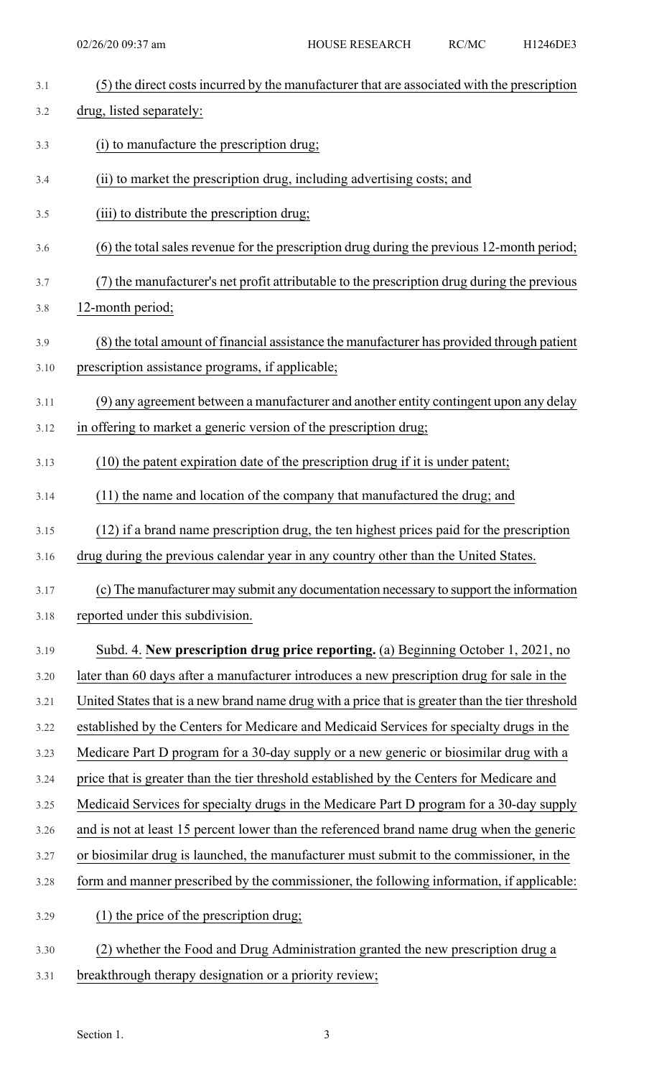| 3.1  | (5) the direct costs incurred by the manufacturer that are associated with the prescription      |
|------|--------------------------------------------------------------------------------------------------|
| 3.2  | drug, listed separately:                                                                         |
| 3.3  | (i) to manufacture the prescription drug;                                                        |
| 3.4  | (ii) to market the prescription drug, including advertising costs; and                           |
| 3.5  | (iii) to distribute the prescription drug;                                                       |
| 3.6  | (6) the total sales revenue for the prescription drug during the previous 12-month period;       |
| 3.7  | (7) the manufacturer's net profit attributable to the prescription drug during the previous      |
| 3.8  | 12-month period;                                                                                 |
| 3.9  | (8) the total amount of financial assistance the manufacturer has provided through patient       |
| 3.10 | prescription assistance programs, if applicable;                                                 |
| 3.11 | (9) any agreement between a manufacturer and another entity contingent upon any delay            |
| 3.12 | in offering to market a generic version of the prescription drug;                                |
| 3.13 | (10) the patent expiration date of the prescription drug if it is under patent;                  |
| 3.14 | (11) the name and location of the company that manufactured the drug; and                        |
| 3.15 | (12) if a brand name prescription drug, the ten highest prices paid for the prescription         |
| 3.16 | drug during the previous calendar year in any country other than the United States.              |
| 3.17 | (c) The manufacturer may submit any documentation necessary to support the information           |
| 3.18 | reported under this subdivision.                                                                 |
| 3.19 | Subd. 4. New prescription drug price reporting. (a) Beginning October 1, 2021, no                |
| 3.20 | later than 60 days after a manufacturer introduces a new prescription drug for sale in the       |
| 3.21 | United States that is a new brand name drug with a price that is greater than the tier threshold |
| 3.22 | established by the Centers for Medicare and Medicaid Services for specialty drugs in the         |
| 3.23 | Medicare Part D program for a 30-day supply or a new generic or biosimilar drug with a           |
| 3.24 | price that is greater than the tier threshold established by the Centers for Medicare and        |
| 3.25 | Medicaid Services for specialty drugs in the Medicare Part D program for a 30-day supply         |
| 3.26 | and is not at least 15 percent lower than the referenced brand name drug when the generic        |
| 3.27 | or biosimilar drug is launched, the manufacturer must submit to the commissioner, in the         |
| 3.28 | form and manner prescribed by the commissioner, the following information, if applicable:        |
| 3.29 | (1) the price of the prescription drug;                                                          |
| 3.30 | (2) whether the Food and Drug Administration granted the new prescription drug a                 |
| 3.31 | breakthrough therapy designation or a priority review;                                           |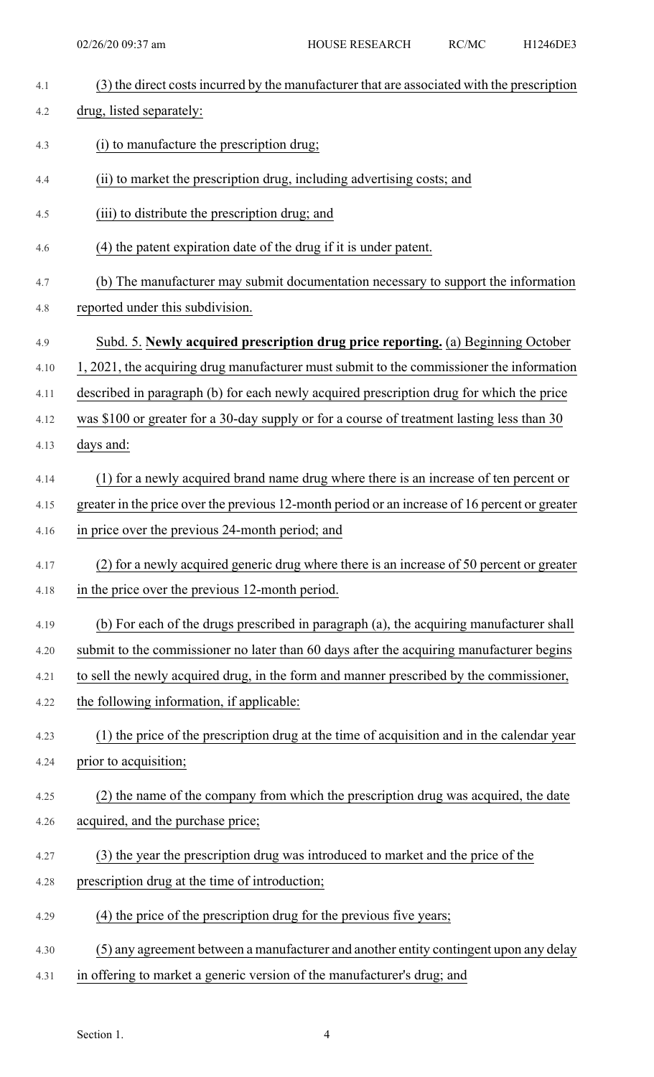| 4.1  | (3) the direct costs incurred by the manufacturer that are associated with the prescription    |
|------|------------------------------------------------------------------------------------------------|
| 4.2  | drug, listed separately:                                                                       |
| 4.3  | (i) to manufacture the prescription drug;                                                      |
| 4.4  | (ii) to market the prescription drug, including advertising costs; and                         |
| 4.5  | (iii) to distribute the prescription drug; and                                                 |
| 4.6  | (4) the patent expiration date of the drug if it is under patent.                              |
| 4.7  | (b) The manufacturer may submit documentation necessary to support the information             |
| 4.8  | reported under this subdivision.                                                               |
| 4.9  | Subd. 5. Newly acquired prescription drug price reporting. (a) Beginning October               |
| 4.10 | 1, 2021, the acquiring drug manufacturer must submit to the commissioner the information       |
| 4.11 | described in paragraph (b) for each newly acquired prescription drug for which the price       |
| 4.12 | was \$100 or greater for a 30-day supply or for a course of treatment lasting less than 30     |
| 4.13 | days and:                                                                                      |
| 4.14 | (1) for a newly acquired brand name drug where there is an increase of ten percent or          |
| 4.15 | greater in the price over the previous 12-month period or an increase of 16 percent or greater |
| 4.16 | in price over the previous 24-month period; and                                                |
| 4.17 | (2) for a newly acquired generic drug where there is an increase of 50 percent or greater      |
| 4.18 | in the price over the previous 12-month period.                                                |
| 4.19 | (b) For each of the drugs prescribed in paragraph (a), the acquiring manufacturer shall        |
| 4.20 | submit to the commissioner no later than 60 days after the acquiring manufacturer begins       |
| 4.21 | to sell the newly acquired drug, in the form and manner prescribed by the commissioner,        |
| 4.22 | the following information, if applicable:                                                      |
| 4.23 | (1) the price of the prescription drug at the time of acquisition and in the calendar year     |
| 4.24 | prior to acquisition;                                                                          |
| 4.25 | (2) the name of the company from which the prescription drug was acquired, the date            |
| 4.26 | acquired, and the purchase price;                                                              |
| 4.27 | (3) the year the prescription drug was introduced to market and the price of the               |
| 4.28 | prescription drug at the time of introduction;                                                 |
| 4.29 | (4) the price of the prescription drug for the previous five years;                            |
| 4.30 | (5) any agreement between a manufacturer and another entity contingent upon any delay          |
| 4.31 | in offering to market a generic version of the manufacturer's drug; and                        |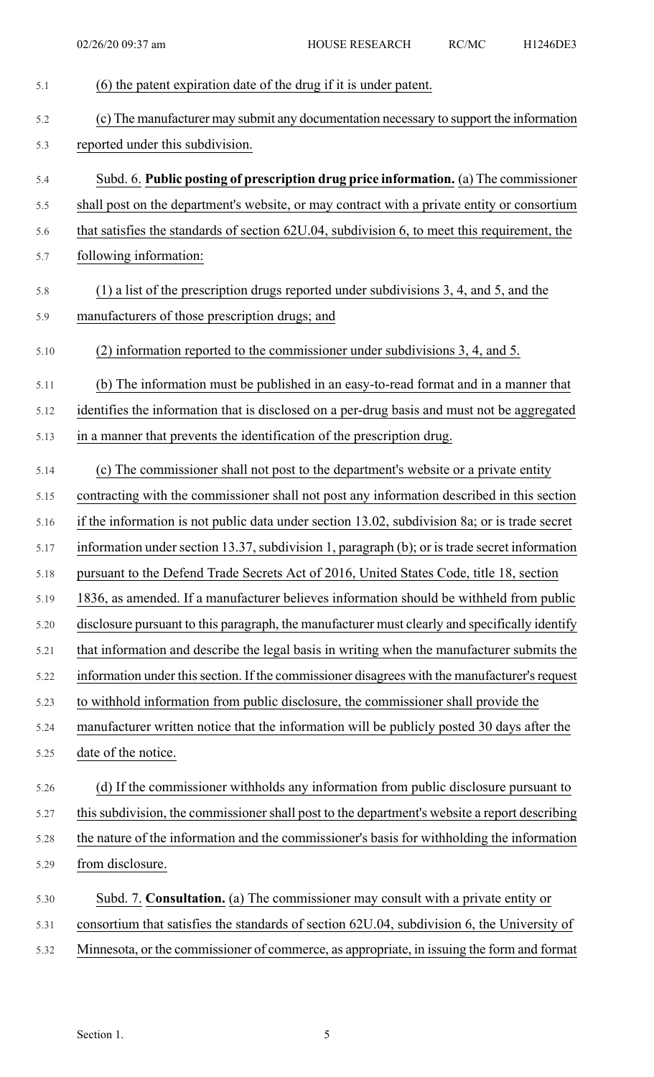| 5.1  | (6) the patent expiration date of the drug if it is under patent.                              |
|------|------------------------------------------------------------------------------------------------|
| 5.2  | (c) The manufacturer may submit any documentation necessary to support the information         |
| 5.3  | reported under this subdivision.                                                               |
| 5.4  | Subd. 6. Public posting of prescription drug price information. (a) The commissioner           |
| 5.5  | shall post on the department's website, or may contract with a private entity or consortium    |
| 5.6  | that satisfies the standards of section 62U.04, subdivision 6, to meet this requirement, the   |
| 5.7  | following information:                                                                         |
| 5.8  | $(1)$ a list of the prescription drugs reported under subdivisions 3, 4, and 5, and the        |
| 5.9  | manufacturers of those prescription drugs; and                                                 |
| 5.10 | (2) information reported to the commissioner under subdivisions 3, 4, and 5.                   |
| 5.11 | (b) The information must be published in an easy-to-read format and in a manner that           |
| 5.12 | identifies the information that is disclosed on a per-drug basis and must not be aggregated    |
| 5.13 | in a manner that prevents the identification of the prescription drug.                         |
| 5.14 | (c) The commissioner shall not post to the department's website or a private entity            |
| 5.15 | contracting with the commissioner shall not post any information described in this section     |
| 5.16 | if the information is not public data under section 13.02, subdivision 8a; or is trade secret  |
| 5.17 | information under section 13.37, subdivision 1, paragraph (b); or is trade secret information  |
| 5.18 | pursuant to the Defend Trade Secrets Act of 2016, United States Code, title 18, section        |
| 5.19 | 1836, as amended. If a manufacturer believes information should be withheld from public        |
| 5.20 | disclosure pursuant to this paragraph, the manufacturer must clearly and specifically identify |
| 5.21 | that information and describe the legal basis in writing when the manufacturer submits the     |
| 5.22 | information under this section. If the commissioner disagrees with the manufacturer's request  |
| 5.23 | to withhold information from public disclosure, the commissioner shall provide the             |
| 5.24 | manufacturer written notice that the information will be publicly posted 30 days after the     |
| 5.25 | date of the notice.                                                                            |
| 5.26 | (d) If the commissioner withholds any information from public disclosure pursuant to           |
| 5.27 | this subdivision, the commissioner shall post to the department's website a report describing  |
| 5.28 | the nature of the information and the commissioner's basis for withholding the information     |
| 5.29 | from disclosure.                                                                               |
| 5.30 | Subd. 7. Consultation. (a) The commissioner may consult with a private entity or               |
| 5.31 | consortium that satisfies the standards of section 62U.04, subdivision 6, the University of    |
| 5.32 | Minnesota, or the commissioner of commerce, as appropriate, in issuing the form and format     |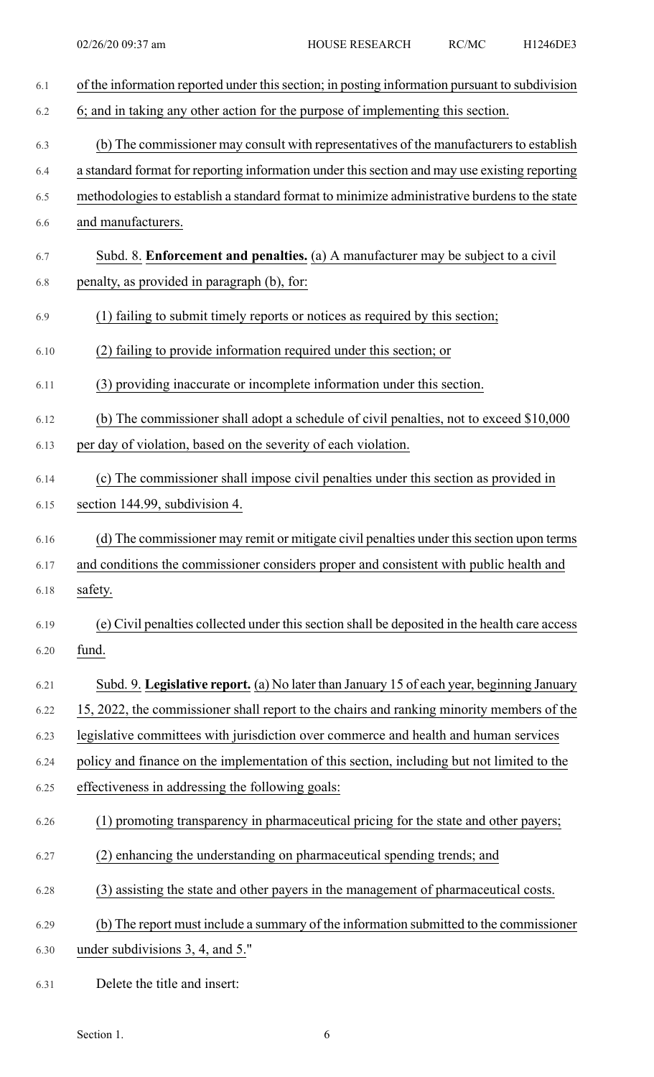| 6.1  | of the information reported under this section; in posting information pursuant to subdivision |
|------|------------------------------------------------------------------------------------------------|
| 6.2  | 6; and in taking any other action for the purpose of implementing this section.                |
| 6.3  | (b) The commissioner may consult with representatives of the manufacturers to establish        |
| 6.4  | a standard format for reporting information under this section and may use existing reporting  |
| 6.5  | methodologies to establish a standard format to minimize administrative burdens to the state   |
| 6.6  | and manufacturers.                                                                             |
| 6.7  | Subd. 8. Enforcement and penalties. (a) A manufacturer may be subject to a civil               |
| 6.8  | penalty, as provided in paragraph (b), for:                                                    |
| 6.9  | (1) failing to submit timely reports or notices as required by this section;                   |
| 6.10 | (2) failing to provide information required under this section; or                             |
| 6.11 | (3) providing inaccurate or incomplete information under this section.                         |
| 6.12 | (b) The commissioner shall adopt a schedule of civil penalties, not to exceed \$10,000         |
| 6.13 | per day of violation, based on the severity of each violation.                                 |
| 6.14 | (c) The commissioner shall impose civil penalties under this section as provided in            |
| 6.15 | section 144.99, subdivision 4.                                                                 |
| 6.16 | (d) The commissioner may remit or mitigate civil penalties under this section upon terms       |
| 6.17 | and conditions the commissioner considers proper and consistent with public health and         |
| 6.18 | safety.                                                                                        |
| 6.19 | (e) Civil penalties collected under this section shall be deposited in the health care access  |
| 6.20 | fund.                                                                                          |
| 6.21 | Subd. 9. Legislative report. (a) No later than January 15 of each year, beginning January      |
| 6.22 | 15, 2022, the commissioner shall report to the chairs and ranking minority members of the      |
| 6.23 | legislative committees with jurisdiction over commerce and health and human services           |
| 6.24 | policy and finance on the implementation of this section, including but not limited to the     |
| 6.25 | effectiveness in addressing the following goals:                                               |
| 6.26 | (1) promoting transparency in pharmaceutical pricing for the state and other payers;           |
| 6.27 | (2) enhancing the understanding on pharmaceutical spending trends; and                         |
| 6.28 | (3) assisting the state and other payers in the management of pharmaceutical costs.            |
| 6.29 | (b) The report must include a summary of the information submitted to the commissioner         |
| 6.30 | under subdivisions 3, 4, and 5."                                                               |
|      |                                                                                                |

6.31 Delete the title and insert: